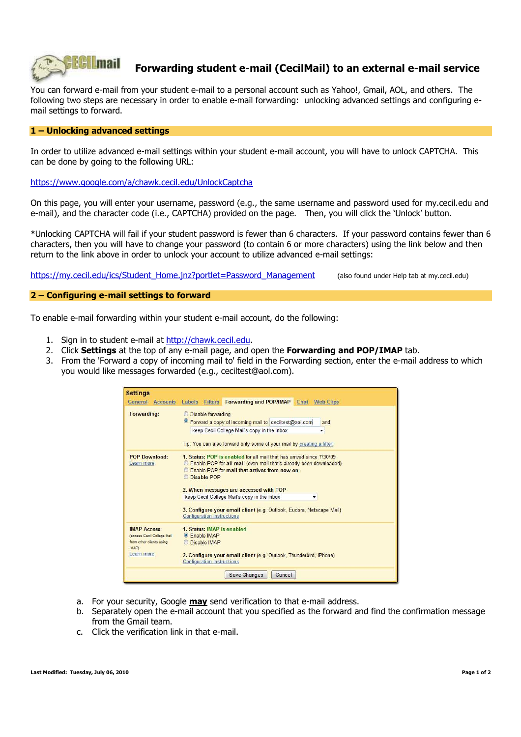

## **Forwarding student e-mail (CecilMail) to an external e-mail service**

You can forward e-mail from your student e-mail to a personal account such as Yahoo!, Gmail, AOL, and others. The following two steps are necessary in order to enable e-mail forwarding: unlocking advanced settings and configuring email settings to forward.

## **1 – Unlocking advanced settings**

In order to utilize advanced e-mail settings within your student e-mail account, you will have to unlock CAPTCHA. This can be done by going to the following URL:

https://www.google.com/a/chawk.cecil.edu/UnlockCaptcha

On this page, you will enter your username, password (e.g., the same username and password used for my.cecil.edu and e-mail), and the character code (i.e., CAPTCHA) provided on the page. Then, you will click the 'Unlock' button.

\*Unlocking CAPTCHA will fail if your student password is fewer than 6 characters. If your password contains fewer than 6 characters, then you will have to change your password (to contain 6 or more characters) using the link below and then return to the link above in order to unlock your account to utilize advanced e-mail settings:

https://my.cecil.edu/ics/Student\_Home.jnz?portlet=Password\_Management (also found under Help tab at my.cecil.edu)

## **2 – Configuring e-mail settings to forward**

To enable e-mail forwarding within your student e-mail account, do the following:

- 1. Sign in to student e-mail at http://chawk.cecil.edu.
- 2. Click **Settings** at the top of any e-mail page, and open the **Forwarding and POP/IMAP** tab.
- 3. From the 'Forward a copy of incoming mail to' field in the Forwarding section, enter the e-mail address to which you would like messages forwarded (e.g., ceciltest@aol.com).

| <b>Settings</b>                                                                                     |                                                                                                                                                                                                                                                                                                                                                                                                                                     |
|-----------------------------------------------------------------------------------------------------|-------------------------------------------------------------------------------------------------------------------------------------------------------------------------------------------------------------------------------------------------------------------------------------------------------------------------------------------------------------------------------------------------------------------------------------|
| <b>Accounts</b><br>General                                                                          | Forwarding and POP/IMAP Chat Web Clips<br>Labels<br><b>Filters</b>                                                                                                                                                                                                                                                                                                                                                                  |
| Forwarding:                                                                                         | <b>Disable forwarding</b><br><sup>o</sup> Forward a copy of incoming mail to ceciltest@aol.com<br>and<br>keep Cecil College Mail's copy in the Inbox<br>۰<br>Tip: You can also forward only some of your mail by creating a filter!                                                                                                                                                                                                 |
| <b>POP Download:</b><br>Learn more                                                                  | 1. Status: POP is enabled for all mail that has arrived since 7/30/09<br><b>Enable POP for all mail (even mail that's already been downloaded)</b><br><b>Enable POP</b> for mail that arrives from now on<br>Disable POP<br>2. When messages are accessed with POP<br>keep Cecil College Mail's copy in the Inbox<br>۰<br>3. Configure your email client (e.g. Outlook, Eudora, Netscape Mail)<br><b>Configuration instructions</b> |
| <b>IMAP Access:</b><br>(access Cecil College Mail<br>from other clients using<br>IMAP<br>Learn more | 1. Status: IMAP is enabled<br>• Fnable IMAP<br>Disable IMAP<br>2. Configure your email client (e.g. Outlook, Thunderbird, iPhone)<br><b>Configuration instructions</b><br>Save Changes<br>Cancel                                                                                                                                                                                                                                    |

- a. For your security, Google **may** send verification to that e-mail address.
- b. Separately open the e-mail account that you specified as the forward and find the confirmation message from the Gmail team.
- c. Click the verification link in that e-mail.